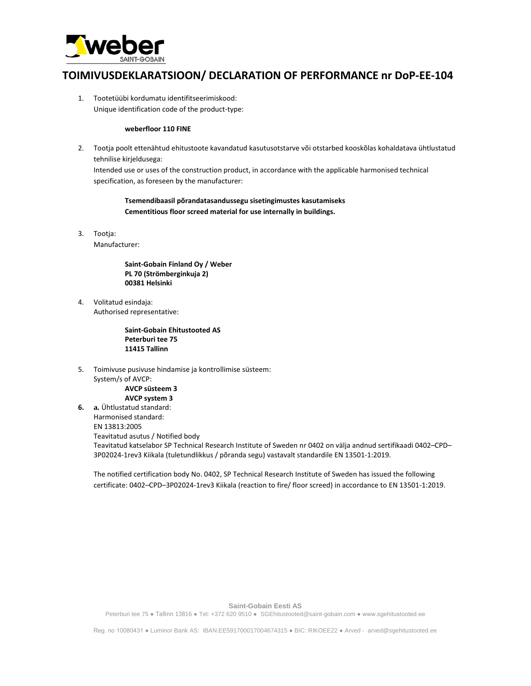

## **TOIMIVUSDEKLARATSIOON/ DECLARATION OF PERFORMANCE nr DoP-EE-104**

1. Tootetüübi kordumatu identifitseerimiskood: Unique identification code of the product-type:

## **weberfloor 110 FINE**

2. Tootja poolt ettenähtud ehitustoote kavandatud kasutusotstarve või otstarbed kooskõlas kohaldatava ühtlustatud tehnilise kirjeldusega:

Intended use or uses of the construction product, in accordance with the applicable harmonised technical specification, as foreseen by the manufacturer:

**Tsemendibaasil põrandatasandussegu sisetingimustes kasutamiseks Cementitious floor screed material for use internally in buildings.**

3. Tootja:

Manufacturer:

**Saint-Gobain Finland Oy / Weber PL 70 (Strömberginkuja 2) 00381 Helsinki**

4. Volitatud esindaja: Authorised representative:

> **Saint-Gobain Ehitustooted AS Peterburi tee 75 11415 Tallinn**

5. Toimivuse pusivuse hindamise ja kontrollimise süsteem: System/s of AVCP:

**AVCP süsteem 3 AVCP system 3**

**6. a.** Ühtlustatud standard: Harmonised standard: EN 13813:2005 Teavitatud asutus / Notified body Teavitatud katselabor SP Technical Research Institute of Sweden nr 0402 on välja andnud sertifikaadi 0402–CPD– 3P02024-1rev3 Kiikala (tuletundlikkus / põranda segu) vastavalt standardile EN 13501-1:2019.

The notified certification body No. 0402, SP Technical Research Institute of Sweden has issued the following certificate: 0402–CPD–3P02024-1rev3 Kiikala (reaction to fire/ floor screed) in accordance to EN 13501-1:2019.

**Saint-Gobain Eesti AS** 

Peterburi tee 75 ● Tallinn 13816 ● Tel: +372 620 9510 ● SGEhitustooted@saint-gobain.com ● www.sgehitustooted.ee

Reg. no 10080431 ● Luminor Bank AS: IBAN:EE591700017004674315 ● BIC: RIKOEE22 ● Arved - arved@sgehitustooted.ee